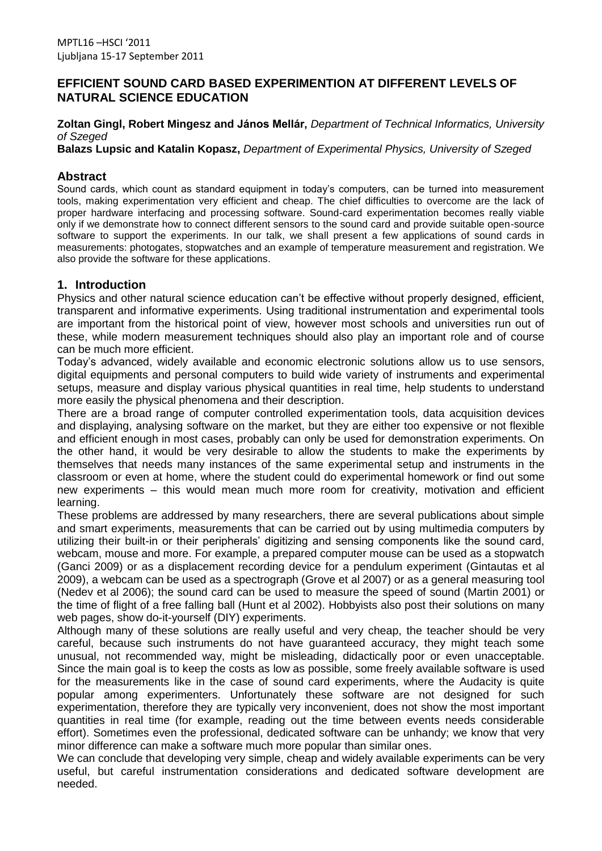## **EFFICIENT SOUND CARD BASED EXPERIMENTION AT DIFFERENT LEVELS OF NATURAL SCIENCE EDUCATION**

**Zoltan Gingl, Robert Mingesz and János Mellár,** *Department of Technical Informatics, University of Szeged*

**Balazs Lupsic and Katalin Kopasz,** *Department of Experimental Physics, University of Szeged*

#### **Abstract**

Sound cards, which count as standard equipment in today's computers, can be turned into measurement tools, making experimentation very efficient and cheap. The chief difficulties to overcome are the lack of proper hardware interfacing and processing software. Sound-card experimentation becomes really viable only if we demonstrate how to connect different sensors to the sound card and provide suitable open-source software to support the experiments. In our talk, we shall present a few applications of sound cards in measurements: photogates, stopwatches and an example of temperature measurement and registration. We also provide the software for these applications.

# **1. Introduction**

Physics and other natural science education can't be effective without properly designed, efficient, transparent and informative experiments. Using traditional instrumentation and experimental tools are important from the historical point of view, however most schools and universities run out of these, while modern measurement techniques should also play an important role and of course can be much more efficient.

Today's advanced, widely available and economic electronic solutions allow us to use sensors, digital equipments and personal computers to build wide variety of instruments and experimental setups, measure and display various physical quantities in real time, help students to understand more easily the physical phenomena and their description.

There are a broad range of computer controlled experimentation tools, data acquisition devices and displaying, analysing software on the market, but they are either too expensive or not flexible and efficient enough in most cases, probably can only be used for demonstration experiments. On the other hand, it would be very desirable to allow the students to make the experiments by themselves that needs many instances of the same experimental setup and instruments in the classroom or even at home, where the student could do experimental homework or find out some new experiments – this would mean much more room for creativity, motivation and efficient learning.

These problems are addressed by many researchers, there are several publications about simple and smart experiments, measurements that can be carried out by using multimedia computers by utilizing their built-in or their peripherals' digitizing and sensing components like the sound card, webcam, mouse and more. For example, a prepared computer mouse can be used as a stopwatch (Ganci 2009) or as a displacement recording device for a pendulum experiment (Gintautas et al 2009), a webcam can be used as a spectrograph (Grove et al 2007) or as a general measuring tool (Nedev et al 2006); the sound card can be used to measure the speed of sound (Martin 2001) or the time of flight of a free falling ball (Hunt et al 2002). Hobbyists also post their solutions on many web pages, show do-it-yourself (DIY) experiments.

Although many of these solutions are really useful and very cheap, the teacher should be very careful, because such instruments do not have guaranteed accuracy, they might teach some unusual, not recommended way, might be misleading, didactically poor or even unacceptable. Since the main goal is to keep the costs as low as possible, some freely available software is used for the measurements like in the case of sound card experiments, where the Audacity is quite popular among experimenters. Unfortunately these software are not designed for such experimentation, therefore they are typically very inconvenient, does not show the most important quantities in real time (for example, reading out the time between events needs considerable effort). Sometimes even the professional, dedicated software can be unhandy; we know that very minor difference can make a software much more popular than similar ones.

We can conclude that developing very simple, cheap and widely available experiments can be very useful, but careful instrumentation considerations and dedicated software development are needed.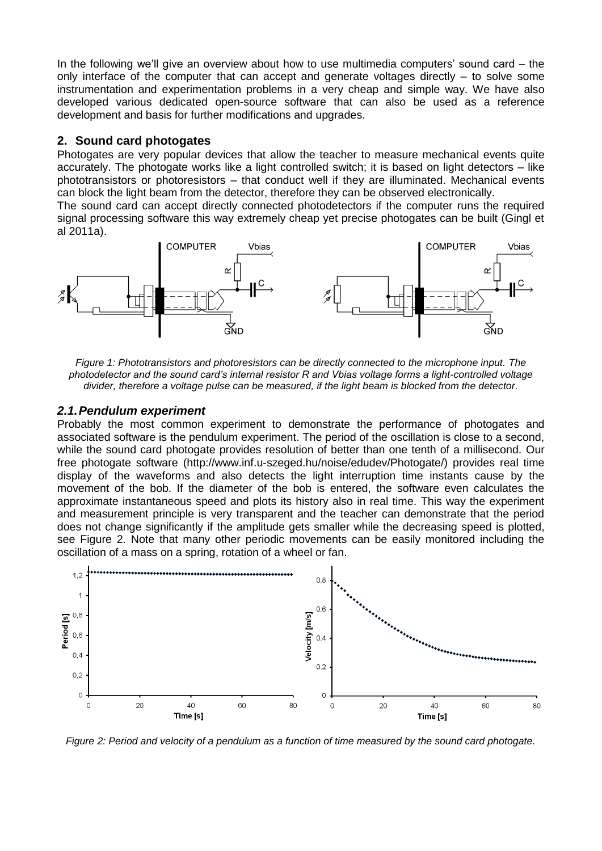In the following we'll give an overview about how to use multimedia computers' sound card – the only interface of the computer that can accept and generate voltages directly – to solve some instrumentation and experimentation problems in a very cheap and simple way. We have also developed various dedicated open-source software that can also be used as a reference development and basis for further modifications and upgrades.

## **2. Sound card photogates**

Photogates are very popular devices that allow the teacher to measure mechanical events quite accurately. The photogate works like a light controlled switch; it is based on light detectors – like phototransistors or photoresistors – that conduct well if they are illuminated. Mechanical events can block the light beam from the detector, therefore they can be observed electronically.

The sound card can accept directly connected photodetectors if the computer runs the required signal processing software this way extremely cheap yet precise photogates can be built (Gingl et al 2011a).



*Figure 1: Phototransistors and photoresistors can be directly connected to the microphone input. The photodetector and the sound card's internal resistor R and Vbias voltage forms a light-controlled voltage divider, therefore a voltage pulse can be measured, if the light beam is blocked from the detector.*

## *2.1.Pendulum experiment*

Probably the most common experiment to demonstrate the performance of photogates and associated software is the pendulum experiment. The period of the oscillation is close to a second, while the sound card photogate provides resolution of better than one tenth of a millisecond. Our free photogate software (http://www.inf.u-szeged.hu/noise/edudev/Photogate/) provides real time display of the waveforms and also detects the light interruption time instants cause by the movement of the bob. If the diameter of the bob is entered, the software even calculates the approximate instantaneous speed and plots its history also in real time. This way the experiment and measurement principle is very transparent and the teacher can demonstrate that the period does not change significantly if the amplitude gets smaller while the decreasing speed is plotted, see Figure 2. Note that many other periodic movements can be easily monitored including the oscillation of a mass on a spring, rotation of a wheel or fan.



*Figure 2: Period and velocity of a pendulum as a function of time measured by the sound card photogate.*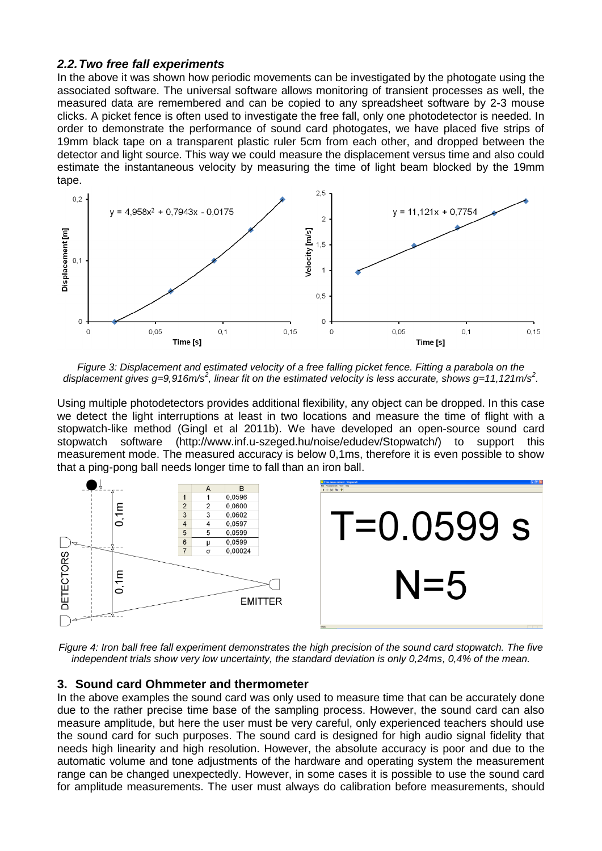### *2.2.Two free fall experiments*

In the above it was shown how periodic movements can be investigated by the photogate using the associated software. The universal software allows monitoring of transient processes as well, the measured data are remembered and can be copied to any spreadsheet software by 2-3 mouse clicks. A picket fence is often used to investigate the free fall, only one photodetector is needed. In order to demonstrate the performance of sound card photogates, we have placed five strips of 19mm black tape on a transparent plastic ruler 5cm from each other, and dropped between the detector and light source. This way we could measure the displacement versus time and also could estimate the instantaneous velocity by measuring the time of light beam blocked by the 19mm tape.



*Figure 3: Displacement and estimated velocity of a free falling picket fence. Fitting a parabola on the*  displacement gives g=9,916m/s<sup>2</sup>, linear fit on the estimated velocity is less accurate, shows g=11,121m/s<sup>2</sup>.

Using multiple photodetectors provides additional flexibility, any object can be dropped. In this case we detect the light interruptions at least in two locations and measure the time of flight with a stopwatch-like method (Gingl et al 2011b). We have developed an open-source sound card stopwatch software (http://www.inf.u-szeged.hu/noise/edudev/Stopwatch/) to support this measurement mode. The measured accuracy is below 0,1ms, therefore it is even possible to show that a ping-pong ball needs longer time to fall than an iron ball.



*Figure 4: Iron ball free fall experiment demonstrates the high precision of the sound card stopwatch. The five independent trials show very low uncertainty, the standard deviation is only 0,24ms, 0,4% of the mean.* 

#### **3. Sound card Ohmmeter and thermometer**

In the above examples the sound card was only used to measure time that can be accurately done due to the rather precise time base of the sampling process. However, the sound card can also measure amplitude, but here the user must be very careful, only experienced teachers should use the sound card for such purposes. The sound card is designed for high audio signal fidelity that needs high linearity and high resolution. However, the absolute accuracy is poor and due to the automatic volume and tone adjustments of the hardware and operating system the measurement range can be changed unexpectedly. However, in some cases it is possible to use the sound card for amplitude measurements. The user must always do calibration before measurements, should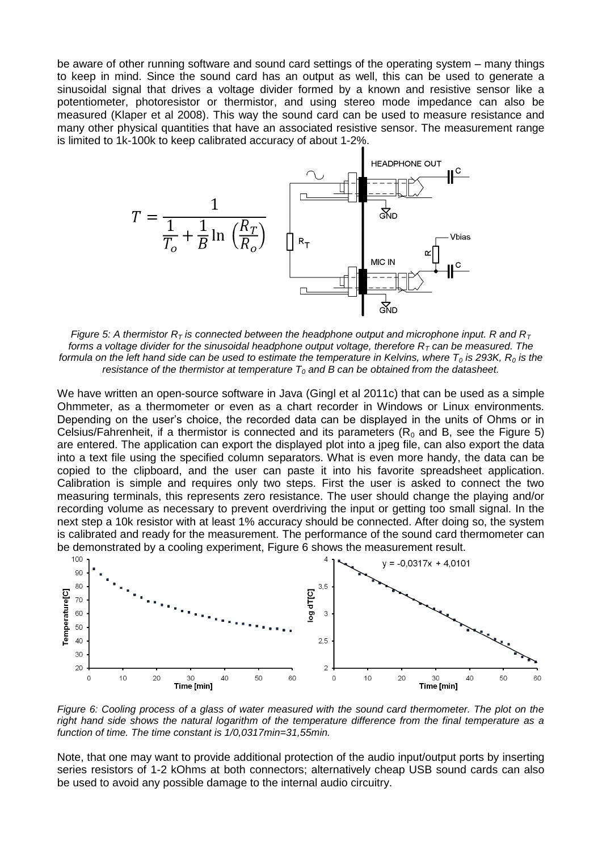be aware of other running software and sound card settings of the operating system – many things to keep in mind. Since the sound card has an output as well, this can be used to generate a sinusoidal signal that drives a voltage divider formed by a known and resistive sensor like a potentiometer, photoresistor or thermistor, and using stereo mode impedance can also be measured (Klaper et al 2008). This way the sound card can be used to measure resistance and many other physical quantities that have an associated resistive sensor. The measurement range is limited to 1k-100k to keep calibrated accuracy of about 1-2%.



*Figure 5: A thermistor*  $R<sub>T</sub>$  *is connected between the headphone output and microphone input. R and*  $R<sub>T</sub>$ *forms a voltage divider for the sinusoidal headphone output voltage, therefore*  $R<sub>T</sub>$  *can be measured. The formula on the left hand side can be used to estimate the temperature in Kelvins, where T<sup>0</sup> is 293K, R<sup>0</sup> is the resistance of the thermistor at temperature T<sup>0</sup> and B can be obtained from the datasheet.*

We have written an open-source software in Java (Gingl et al 2011c) that can be used as a simple Ohmmeter, as a thermometer or even as a chart recorder in Windows or Linux environments. Depending on the user's choice, the recorded data can be displayed in the units of Ohms or in Celsius/Fahrenheit, if a thermistor is connected and its parameters  $(R_0$  and B, see the Figure 5) are entered. The application can export the displayed plot into a jpeg file, can also export the data into a text file using the specified column separators. What is even more handy, the data can be copied to the clipboard, and the user can paste it into his favorite spreadsheet application. Calibration is simple and requires only two steps. First the user is asked to connect the two measuring terminals, this represents zero resistance. The user should change the playing and/or recording volume as necessary to prevent overdriving the input or getting too small signal. In the next step a 10k resistor with at least 1% accuracy should be connected. After doing so, the system is calibrated and ready for the measurement. The performance of the sound card thermometer can



*Figure 6: Cooling process of a glass of water measured with the sound card thermometer. The plot on the* right hand side shows the natural logarithm of the temperature difference from the final temperature as a *function of time. The time constant is 1/0,0317min=31,55min.*

Note, that one may want to provide additional protection of the audio input/output ports by inserting series resistors of 1-2 kOhms at both connectors; alternatively cheap USB sound cards can also be used to avoid any possible damage to the internal audio circuitry.